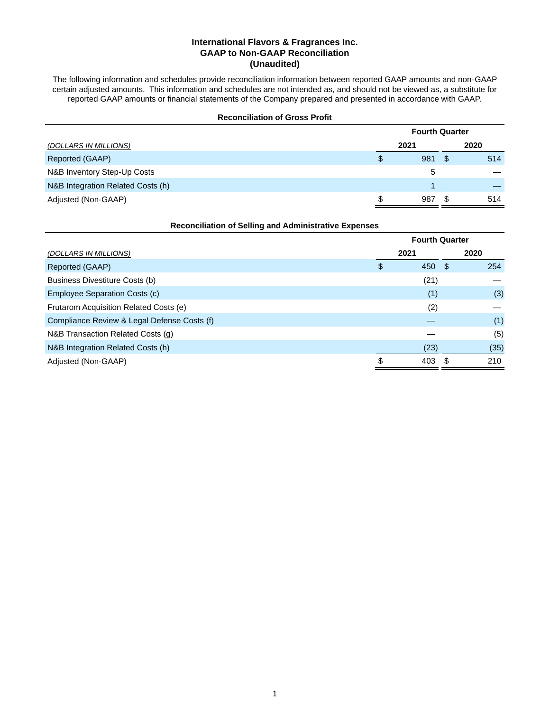# **International Flavors & Fragrances Inc. GAAP to Non-GAAP Reconciliation (Unaudited)**

The following information and schedules provide reconciliation information between reported GAAP amounts and non-GAAP certain adjusted amounts. This information and schedules are not intended as, and should not be viewed as, a substitute for reported GAAP amounts or financial statements of the Company prepared and presented in accordance with GAAP.

| <b>Reconciliation of Gross Profit</b> |                       |      |     |      |  |
|---------------------------------------|-----------------------|------|-----|------|--|
|                                       | <b>Fourth Quarter</b> |      |     |      |  |
| (DOLLARS IN MILLIONS)                 |                       | 2021 |     | 2020 |  |
| Reported (GAAP)                       | \$                    | 981  | \$. | 514  |  |
| N&B Inventory Step-Up Costs           |                       | 5    |     |      |  |
| N&B Integration Related Costs (h)     |                       |      |     |      |  |
| Adjusted (Non-GAAP)                   | S                     | 987  |     | 514  |  |

| <b>Reconciliation of Selling and Administrative Expenses</b> |  |
|--------------------------------------------------------------|--|
|--------------------------------------------------------------|--|

|                                             | <b>Fourth Quarter</b> |      |      |      |  |  |  |  |
|---------------------------------------------|-----------------------|------|------|------|--|--|--|--|
| (DOLLARS IN MILLIONS)                       |                       | 2021 |      | 2020 |  |  |  |  |
| Reported (GAAP)                             | \$                    | 450  | - \$ | 254  |  |  |  |  |
| Business Divestiture Costs (b)              |                       | (21) |      |      |  |  |  |  |
| Employee Separation Costs (c)               |                       | (1)  |      | (3)  |  |  |  |  |
| Frutarom Acquisition Related Costs (e)      |                       | (2)  |      |      |  |  |  |  |
| Compliance Review & Legal Defense Costs (f) |                       |      |      | (1)  |  |  |  |  |
| N&B Transaction Related Costs (g)           |                       |      |      | (5)  |  |  |  |  |
| N&B Integration Related Costs (h)           |                       | (23) |      | (35) |  |  |  |  |
| Adjusted (Non-GAAP)                         | \$                    | 403  |      | 210  |  |  |  |  |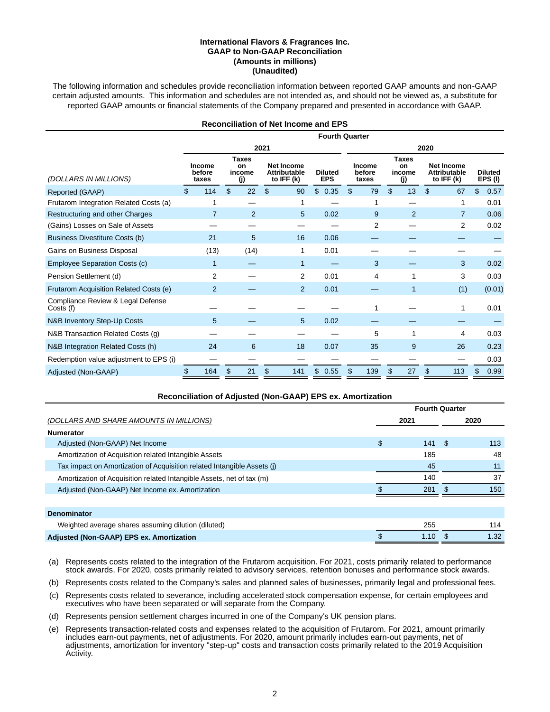#### **International Flavors & Fragrances Inc. GAAP to Non-GAAP Reconciliation (Amounts in millions) (Unaudited)**

The following information and schedules provide reconciliation information between reported GAAP amounts and non-GAAP certain adjusted amounts. This information and schedules are not intended as, and should not be viewed as, a substitute for reported GAAP amounts or financial statements of the Company prepared and presented in accordance with GAAP.

|                                                |                           |     |                                     |      |                                                        | <b>Reconciliation of Net Income and EPS</b> |      |                                  |                |                                     |    |                                                          |    |                          |
|------------------------------------------------|---------------------------|-----|-------------------------------------|------|--------------------------------------------------------|---------------------------------------------|------|----------------------------------|----------------|-------------------------------------|----|----------------------------------------------------------|----|--------------------------|
|                                                |                           |     |                                     |      |                                                        | <b>Fourth Quarter</b>                       |      |                                  |                |                                     |    |                                                          |    |                          |
|                                                |                           |     |                                     | 2021 |                                                        |                                             | 2020 |                                  |                |                                     |    |                                                          |    |                          |
| (DOLLARS IN MILLIONS)                          | Income<br>before<br>taxes |     | <b>Taxes</b><br>on<br>income<br>(j) |      | <b>Net Income</b><br><b>Attributable</b><br>to IFF (k) | <b>Diluted</b><br><b>EPS</b>                |      | <b>Income</b><br>before<br>taxes |                | <b>Taxes</b><br>on<br>income<br>(j) |    | <b>Net Income</b><br><b>Attributable</b><br>to IFF $(k)$ |    | <b>Diluted</b><br>EPS(I) |
| Reported (GAAP)                                | \$<br>114                 | \$  | 22                                  | \$   | 90                                                     | \$<br>0.35                                  | \$   | 79                               | $\mathfrak{L}$ | 13                                  | \$ | 67                                                       | \$ | 0.57                     |
| Frutarom Integration Related Costs (a)         |                           |     |                                     |      |                                                        |                                             |      | 1                                |                |                                     |    | 1                                                        |    | 0.01                     |
| Restructuring and other Charges                | 7                         |     | $\overline{2}$                      |      | 5                                                      | 0.02                                        |      | 9                                |                | $\overline{2}$                      |    | $\overline{7}$                                           |    | 0.06                     |
| (Gains) Losses on Sale of Assets               |                           |     |                                     |      |                                                        |                                             |      | 2                                |                |                                     |    | 2                                                        |    | 0.02                     |
| <b>Business Divestiture Costs (b)</b>          | 21                        |     | 5                                   |      | 16                                                     | 0.06                                        |      |                                  |                |                                     |    |                                                          |    |                          |
| Gains on Business Disposal                     | (13)                      |     | (14)                                |      | 1                                                      | 0.01                                        |      |                                  |                |                                     |    |                                                          |    |                          |
| <b>Employee Separation Costs (c)</b>           | 1                         |     |                                     |      | $\mathbf{1}$                                           |                                             |      | 3                                |                |                                     |    | 3                                                        |    | 0.02                     |
| Pension Settlement (d)                         | 2                         |     |                                     |      | 2                                                      | 0.01                                        |      | 4                                |                | 1                                   |    | 3                                                        |    | 0.03                     |
| Frutarom Acquisition Related Costs (e)         | $\overline{2}$            |     |                                     |      | 2                                                      | 0.01                                        |      |                                  |                | 1                                   |    | (1)                                                      |    | (0.01)                   |
| Compliance Review & Legal Defense<br>Costs (f) |                           |     |                                     |      |                                                        |                                             |      | 1                                |                |                                     |    | 1                                                        |    | 0.01                     |
| N&B Inventory Step-Up Costs                    | 5                         |     |                                     |      | 5                                                      | 0.02                                        |      |                                  |                |                                     |    |                                                          |    |                          |
| N&B Transaction Related Costs (g)              |                           |     |                                     |      |                                                        |                                             |      | 5                                |                | 1                                   |    | 4                                                        |    | 0.03                     |
| N&B Integration Related Costs (h)              | 24                        |     | 6                                   |      | 18                                                     | 0.07                                        |      | 35                               |                | 9                                   |    | 26                                                       |    | 0.23                     |
| Redemption value adjustment to EPS (i)         |                           |     |                                     |      |                                                        |                                             |      |                                  |                |                                     |    |                                                          |    | 0.03                     |
| Adjusted (Non-GAAP)                            | \$<br>164                 | \$. | 21                                  | \$   | 141                                                    | \$<br>0.55                                  | \$.  | 139                              | S              | 27                                  | \$ | 113                                                      | \$ | 0.99                     |

|                                                                         |           | <b>Fourth Quarter</b> |      |
|-------------------------------------------------------------------------|-----------|-----------------------|------|
| (DOLLARS AND SHARE AMOUNTS IN MILLIONS)                                 | 2021      |                       | 2020 |
| <b>Numerator</b>                                                        |           |                       |      |
| Adjusted (Non-GAAP) Net Income                                          | \$<br>141 | - \$                  | 113  |
| Amortization of Acquisition related Intangible Assets                   | 185       |                       | 48   |
| Tax impact on Amortization of Acquisition related Intangible Assets (i) | 45        |                       | 11   |
| Amortization of Acquisition related Intangible Assets, net of tax (m)   | 140       |                       | 37   |
| Adjusted (Non-GAAP) Net Income ex. Amortization                         | 281       |                       | 150  |
|                                                                         |           |                       |      |
| <b>Denominator</b>                                                      |           |                       |      |
| Weighted average shares assuming dilution (diluted)                     | 255       |                       | 114  |
| Adjusted (Non-GAAP) EPS ex. Amortization                                | 1.10      |                       | 1.32 |

- (a) Represents costs related to the integration of the Frutarom acquisition. For 2021, costs primarily related to performance stock awards. For 2020, costs primarily related to advisory services, retention bonuses and performance stock awards.
- (b) Represents costs related to the Company's sales and planned sales of businesses, primarily legal and professional fees.
- (c) Represents costs related to severance, including accelerated stock compensation expense, for certain employees and executives who have been separated or will separate from the Company.
- (d) Represents pension settlement charges incurred in one of the Company's UK pension plans.
- (e) Represents transaction-related costs and expenses related to the acquisition of Frutarom. For 2021, amount primarily includes earn-out payments, net of adjustments. For 2020, amount primarily includes earn-out payments, net of adjustments, amortization for inventory "step-up" costs and transaction costs primarily related to the 2019 Acquisition Activity.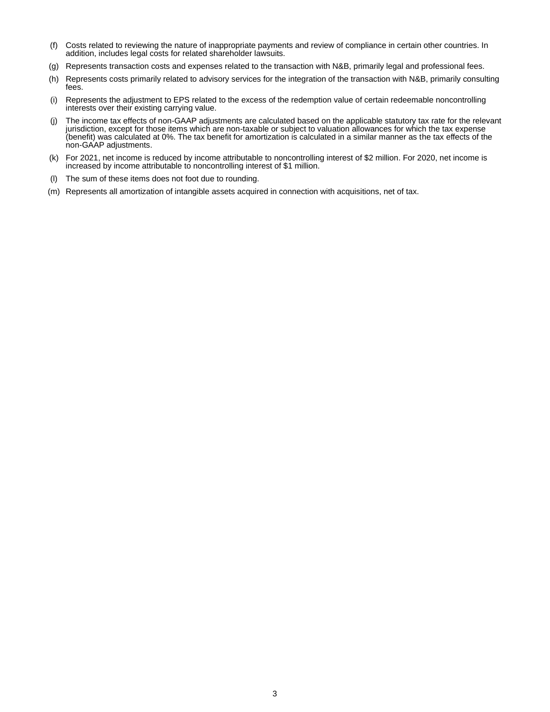- (f) Costs related to reviewing the nature of inappropriate payments and review of compliance in certain other countries. In addition, includes legal costs for related shareholder lawsuits.
- (g) Represents transaction costs and expenses related to the transaction with N&B, primarily legal and professional fees.
- (h) Represents costs primarily related to advisory services for the integration of the transaction with N&B, primarily consulting fees.
- (i) Represents the adjustment to EPS related to the excess of the redemption value of certain redeemable noncontrolling interests over their existing carrying value.
- (j) The income tax effects of non-GAAP adjustments are calculated based on the applicable statutory tax rate for the relevant jurisdiction, except for those items which are non-taxable or subject to valuation allowances for which the tax expense (benefit) was calculated at 0%. The tax benefit for amortization is calculated in a similar manner as the tax effects of the non-GAAP adjustments.
- (k) For 2021, net income is reduced by income attributable to noncontrolling interest of \$2 million. For 2020, net income is increased by income attributable to noncontrolling interest of \$1 million.
- (l) The sum of these items does not foot due to rounding.
- (m) Represents all amortization of intangible assets acquired in connection with acquisitions, net of tax.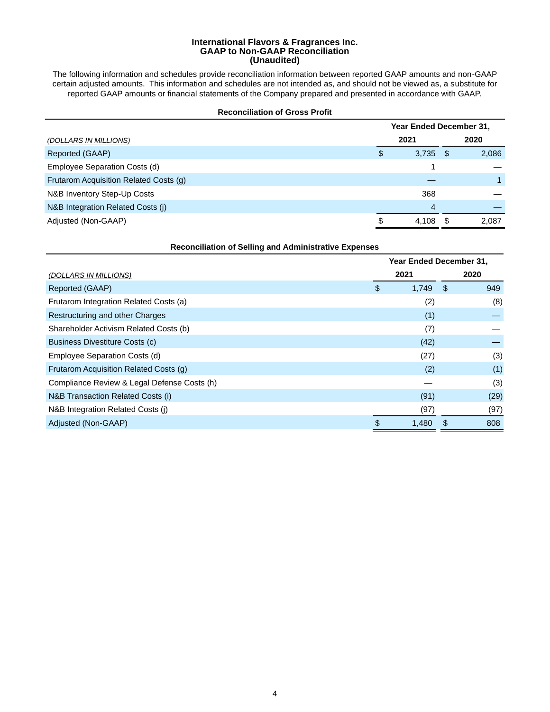#### **International Flavors & Fragrances Inc. GAAP to Non-GAAP Reconciliation (Unaudited)**

The following information and schedules provide reconciliation information between reported GAAP amounts and non-GAAP certain adjusted amounts. This information and schedules are not intended as, and should not be viewed as, a substitute for reported GAAP amounts or financial statements of the Company prepared and presented in accordance with GAAP.

#### **Reconciliation of Gross Profit**

|                                        | Year Ended December 31, |            |   |       |  |  |  |  |
|----------------------------------------|-------------------------|------------|---|-------|--|--|--|--|
| (DOLLARS IN MILLIONS)                  |                         | 2021       |   | 2020  |  |  |  |  |
| Reported (GAAP)                        | \$                      | $3,735$ \$ |   | 2,086 |  |  |  |  |
| Employee Separation Costs (d)          |                         |            |   |       |  |  |  |  |
| Frutarom Acquisition Related Costs (g) |                         |            |   |       |  |  |  |  |
| N&B Inventory Step-Up Costs            |                         | 368        |   |       |  |  |  |  |
| N&B Integration Related Costs (j)      |                         | 4          |   |       |  |  |  |  |
| Adjusted (Non-GAAP)                    | S                       | 4.108      | S | 2.087 |  |  |  |  |

| <b>Reconciliation of Selling and Administrative Expenses</b> |    |                         |    |      |  |  |  |  |
|--------------------------------------------------------------|----|-------------------------|----|------|--|--|--|--|
|                                                              |    | Year Ended December 31, |    |      |  |  |  |  |
| (DOLLARS IN MILLIONS)                                        |    | 2021                    |    | 2020 |  |  |  |  |
| Reported (GAAP)                                              | \$ | 1,749                   | \$ | 949  |  |  |  |  |
| Frutarom Integration Related Costs (a)                       |    | (2)                     |    | (8)  |  |  |  |  |
| Restructuring and other Charges                              |    | (1)                     |    |      |  |  |  |  |
| Shareholder Activism Related Costs (b)                       |    | (7)                     |    |      |  |  |  |  |
| Business Divestiture Costs (c)                               |    | (42)                    |    |      |  |  |  |  |
| Employee Separation Costs (d)                                |    | (27)                    |    | (3)  |  |  |  |  |
| Frutarom Acquisition Related Costs (q)                       |    | (2)                     |    | (1)  |  |  |  |  |
| Compliance Review & Legal Defense Costs (h)                  |    |                         |    | (3)  |  |  |  |  |
| N&B Transaction Related Costs (i)                            |    | (91)                    |    | (29) |  |  |  |  |
| N&B Integration Related Costs (j)                            |    | (97)                    |    | (97) |  |  |  |  |
| Adjusted (Non-GAAP)                                          | \$ | 1,480                   |    | 808  |  |  |  |  |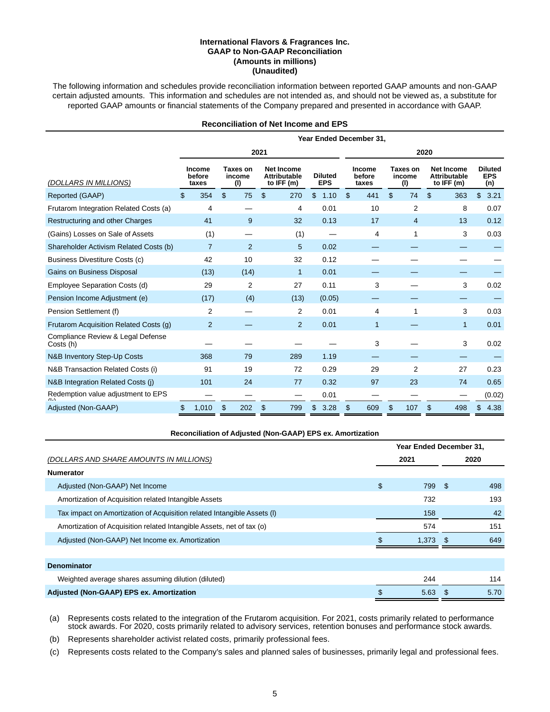#### **International Flavors & Fragrances Inc. GAAP to Non-GAAP Reconciliation (Amounts in millions) (Unaudited)**

The following information and schedules provide reconciliation information between reported GAAP amounts and non-GAAP certain adjusted amounts. This information and schedules are not intended as, and should not be viewed as, a substitute for reported GAAP amounts or financial statements of the Company prepared and presented in accordance with GAAP.

### **Reconciliation of Net Income and EPS**

|                                                | Year Ended December 31,   |    |                           |    |                                                          |    |                              |                |                                  |                |                           |    |                                                          |    |                                     |
|------------------------------------------------|---------------------------|----|---------------------------|----|----------------------------------------------------------|----|------------------------------|----------------|----------------------------------|----------------|---------------------------|----|----------------------------------------------------------|----|-------------------------------------|
|                                                | 2021<br>2020              |    |                           |    |                                                          |    |                              |                |                                  |                |                           |    |                                                          |    |                                     |
| (DOLLARS IN MILLIONS)                          | Income<br>before<br>taxes |    | Taxes on<br>income<br>(1) |    | <b>Net Income</b><br><b>Attributable</b><br>to IFF $(m)$ |    | <b>Diluted</b><br><b>EPS</b> |                | <b>Income</b><br>before<br>taxes |                | Taxes on<br>income<br>(1) |    | <b>Net Income</b><br><b>Attributable</b><br>to IFF $(m)$ |    | <b>Diluted</b><br><b>EPS</b><br>(n) |
| Reported (GAAP)                                | \$<br>354                 | \$ | 75                        | \$ | 270                                                      | \$ | 1.10                         | $\mathfrak{L}$ | 441                              | $\mathfrak{s}$ | 74                        | \$ | 363                                                      | \$ | 3.21                                |
| Frutarom Integration Related Costs (a)         | 4                         |    |                           |    | 4                                                        |    | 0.01                         |                | 10                               |                | $\overline{2}$            |    | 8                                                        |    | 0.07                                |
| Restructuring and other Charges                | 41                        |    | 9                         |    | 32                                                       |    | 0.13                         |                | 17                               |                | $\overline{4}$            |    | 13                                                       |    | 0.12                                |
| (Gains) Losses on Sale of Assets               | (1)                       |    |                           |    | (1)                                                      |    |                              |                | 4                                |                | 1                         |    | 3                                                        |    | 0.03                                |
| Shareholder Activism Related Costs (b)         | $\overline{7}$            |    | $\overline{2}$            |    | 5                                                        |    | 0.02                         |                |                                  |                |                           |    |                                                          |    |                                     |
| Business Divestiture Costs (c)                 | 42                        |    | 10                        |    | 32                                                       |    | 0.12                         |                |                                  |                |                           |    |                                                          |    |                                     |
| Gains on Business Disposal                     | (13)                      |    | (14)                      |    | $\mathbf{1}$                                             |    | 0.01                         |                |                                  |                |                           |    |                                                          |    |                                     |
| Employee Separation Costs (d)                  | 29                        |    | 2                         |    | 27                                                       |    | 0.11                         |                | 3                                |                |                           |    | 3                                                        |    | 0.02                                |
| Pension Income Adjustment (e)                  | (17)                      |    | (4)                       |    | (13)                                                     |    | (0.05)                       |                |                                  |                |                           |    |                                                          |    |                                     |
| Pension Settlement (f)                         | 2                         |    |                           |    | $\overline{2}$                                           |    | 0.01                         |                | 4                                |                | 1                         |    | 3                                                        |    | 0.03                                |
| Frutarom Acquisition Related Costs (q)         | $\overline{2}$            |    |                           |    | $\overline{2}$                                           |    | 0.01                         |                | 1                                |                |                           |    | $\mathbf{1}$                                             |    | 0.01                                |
| Compliance Review & Legal Defense<br>Costs (h) |                           |    |                           |    |                                                          |    |                              |                | 3                                |                |                           |    | 3                                                        |    | 0.02                                |
| N&B Inventory Step-Up Costs                    | 368                       |    | 79                        |    | 289                                                      |    | 1.19                         |                |                                  |                |                           |    |                                                          |    |                                     |
| N&B Transaction Related Costs (i)              | 91                        |    | 19                        |    | 72                                                       |    | 0.29                         |                | 29                               |                | $\overline{2}$            |    | 27                                                       |    | 0.23                                |
| N&B Integration Related Costs (i)              | 101                       |    | 24                        |    | 77                                                       |    | 0.32                         |                | 97                               |                | 23                        |    | 74                                                       |    | 0.65                                |
| Redemption value adjustment to EPS             |                           |    |                           |    |                                                          |    | 0.01                         |                |                                  |                |                           |    |                                                          |    | (0.02)                              |
| Adjusted (Non-GAAP)                            | 1,010                     | \$ | 202                       | \$ | 799                                                      | \$ | 3.28                         | \$             | 609                              | \$.            | 107                       | \$ | 498                                                      | \$ | 4.38                                |

#### **Reconciliation of Adjusted (Non-GAAP) EPS ex. Amortization**

|                                                                         | Year Ended December 31, |       |      |      |  |
|-------------------------------------------------------------------------|-------------------------|-------|------|------|--|
| (DOLLARS AND SHARE AMOUNTS IN MILLIONS)                                 |                         | 2021  |      | 2020 |  |
| <b>Numerator</b>                                                        |                         |       |      |      |  |
| Adjusted (Non-GAAP) Net Income                                          | \$                      | 799   | - \$ | 498  |  |
| Amortization of Acquisition related Intangible Assets                   |                         | 732   |      | 193  |  |
| Tax impact on Amortization of Acquisition related Intangible Assets (I) |                         | 158   |      | 42   |  |
| Amortization of Acquisition related Intangible Assets, net of tax (o)   |                         | 574   |      | 151  |  |
| Adjusted (Non-GAAP) Net Income ex. Amortization                         |                         | 1,373 | - \$ | 649  |  |
|                                                                         |                         |       |      |      |  |
| <b>Denominator</b>                                                      |                         |       |      |      |  |
| Weighted average shares assuming dilution (diluted)                     |                         | 244   |      | 114  |  |
| Adjusted (Non-GAAP) EPS ex. Amortization                                | \$                      | 5.63  | Ж,   | 5.70 |  |

(a) Represents costs related to the integration of the Frutarom acquisition. For 2021, costs primarily related to performance stock awards. For 2020, costs primarily related to advisory services, retention bonuses and performance stock awards.

(b) Represents shareholder activist related costs, primarily professional fees.

(c) Represents costs related to the Company's sales and planned sales of businesses, primarily legal and professional fees.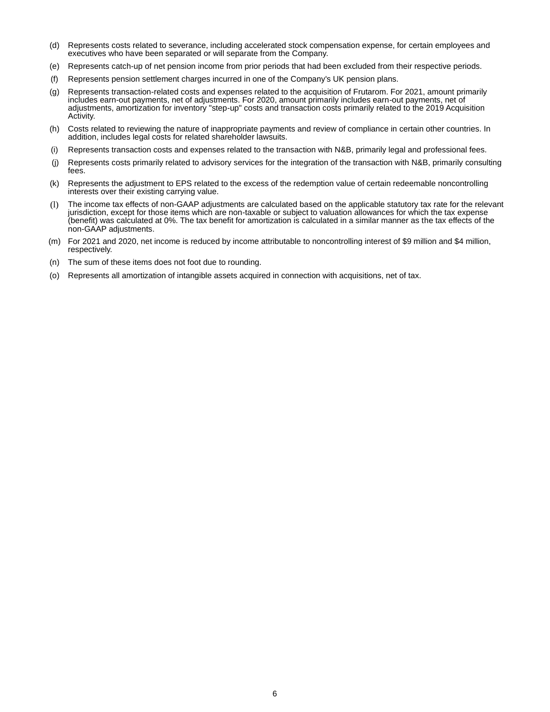- (d) Represents costs related to severance, including accelerated stock compensation expense, for certain employees and executives who have been separated or will separate from the Company.
- (e) Represents catch-up of net pension income from prior periods that had been excluded from their respective periods.
- (f) Represents pension settlement charges incurred in one of the Company's UK pension plans.
- (g) Represents transaction-related costs and expenses related to the acquisition of Frutarom. For 2021, amount primarily includes earn-out payments, net of adjustments. For 2020, amount primarily includes earn-out payments, net of adjustments, amortization for inventory "step-up" costs and transaction costs primarily related to the 2019 Acquisition Activity.
- (h) Costs related to reviewing the nature of inappropriate payments and review of compliance in certain other countries. In addition, includes legal costs for related shareholder lawsuits.
- (i) Represents transaction costs and expenses related to the transaction with N&B, primarily legal and professional fees.
- (j) Represents costs primarily related to advisory services for the integration of the transaction with N&B, primarily consulting fees.
- (k) Represents the adjustment to EPS related to the excess of the redemption value of certain redeemable noncontrolling interests over their existing carrying value.
- (l) The income tax effects of non-GAAP adjustments are calculated based on the applicable statutory tax rate for the relevant jurisdiction, except for those items which are non-taxable or subject to valuation allowances for which the tax expense (benefit) was calculated at 0%. The tax benefit for amortization is calculated in a similar manner as the tax effects of the non-GAAP adjustments.
- (m) For 2021 and 2020, net income is reduced by income attributable to noncontrolling interest of \$9 million and \$4 million, respectively.
- (n) The sum of these items does not foot due to rounding.
- (o) Represents all amortization of intangible assets acquired in connection with acquisitions, net of tax.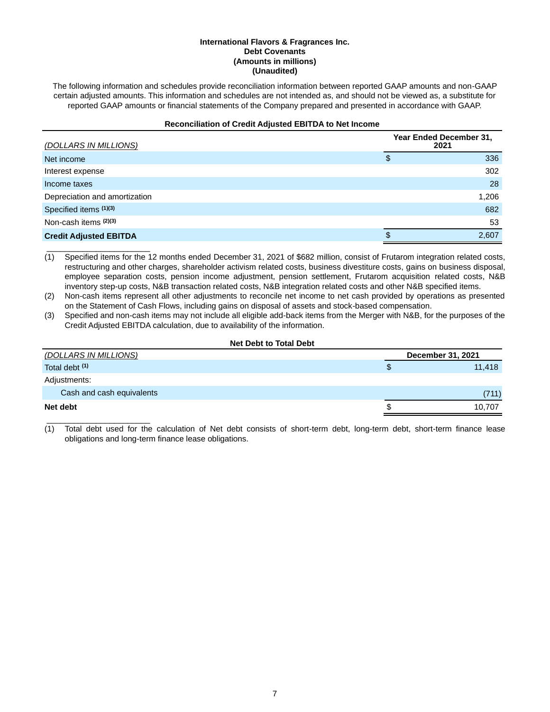### **International Flavors & Fragrances Inc. Debt Covenants (Amounts in millions) (Unaudited)**

The following information and schedules provide reconciliation information between reported GAAP amounts and non-GAAP certain adjusted amounts. This information and schedules are not intended as, and should not be viewed as, a substitute for reported GAAP amounts or financial statements of the Company prepared and presented in accordance with GAAP.

# **Reconciliation of Credit Adjusted EBITDA to Net Income**

| (DOLLARS IN MILLIONS)         | Year Ended December 31,<br>2021 |       |  |  |  |  |
|-------------------------------|---------------------------------|-------|--|--|--|--|
| Net income                    | \$                              | 336   |  |  |  |  |
| Interest expense              |                                 | 302   |  |  |  |  |
| Income taxes                  |                                 | 28    |  |  |  |  |
| Depreciation and amortization |                                 | 1,206 |  |  |  |  |
| Specified items (1)(3)        |                                 | 682   |  |  |  |  |
| Non-cash items (2)(3)         |                                 | 53    |  |  |  |  |
| <b>Credit Adjusted EBITDA</b> | S                               | 2,607 |  |  |  |  |

\_\_\_\_\_\_\_\_\_\_\_\_\_\_\_\_\_\_\_\_\_\_\_ (1) Specified items for the 12 months ended December 31, 2021 of \$682 million, consist of Frutarom integration related costs, restructuring and other charges, shareholder activism related costs, business divestiture costs, gains on business disposal, employee separation costs, pension income adjustment, pension settlement, Frutarom acquisition related costs, N&B inventory step-up costs, N&B transaction related costs, N&B integration related costs and other N&B specified items.

(2) Non-cash items represent all other adjustments to reconcile net income to net cash provided by operations as presented on the Statement of Cash Flows, including gains on disposal of assets and stock-based compensation.

(3) Specified and non-cash items may not include all eligible add-back items from the Merger with N&B, for the purposes of the Credit Adjusted EBITDA calculation, due to availability of the information.

## **Net Debt to Total Debt**

| <u>(DOLLARS IN MILLIONS)</u> |    | December 31, 2021 |  |  |  |
|------------------------------|----|-------------------|--|--|--|
| Total debt <sup>(1)</sup>    | P. | 11,418            |  |  |  |
| Adjustments:                 |    |                   |  |  |  |
| Cash and cash equivalents    |    | (711)             |  |  |  |
| Net debt                     |    | 10.707            |  |  |  |
|                              |    |                   |  |  |  |

(1) Total debt used for the calculation of Net debt consists of short-term debt, long-term debt, short-term finance lease obligations and long-term finance lease obligations.